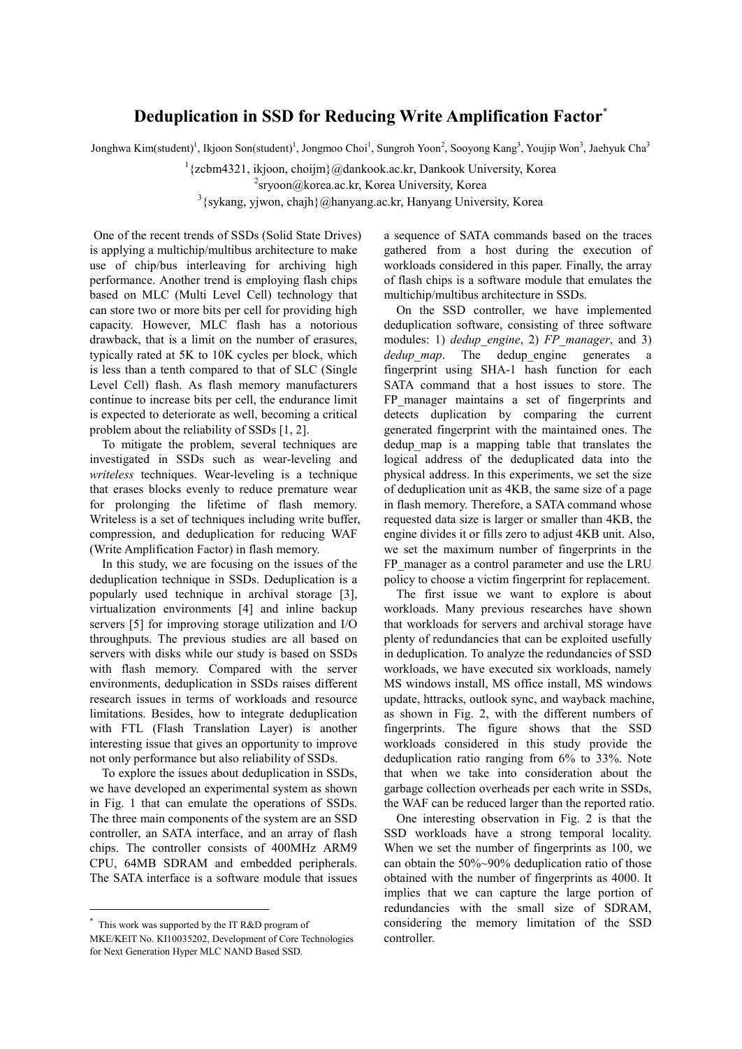## **Deduplication in SSD for Reducing Write Amplification Factor**\*

Jonghwa Kim(student)<sup>1</sup>, Ikjoon Son(student)<sup>1</sup>, Jongmoo Choi<sup>1</sup>, Sungroh Yoon<sup>2</sup>, Sooyong Kang<sup>3</sup>, Youjip Won<sup>3</sup>, Jaehyuk Cha<sup>3</sup>

 $1$ {zcbm4321, ikjoon, choijm}@dankook.ac.kr, Dankook University, Korea

 $2$ sryoon@korea.ac.kr, Korea University, Korea

 $3$ {sykang, yjwon, chajh}@hanyang.ac.kr, Hanyang University, Korea

One of the recent trends of SSDs (Solid State Drives) is applying a multichip/multibus architecture to make use of chip/bus interleaving for archiving high performance. Another trend is employing flash chips based on MLC (Multi Level Cell) technology that can store two or more bits per cell for providing high capacity. However, MLC flash has a notorious drawback, that is a limit on the number of erasures, typically rated at 5K to 10K cycles per block, which is less than a tenth compared to that of SLC (Single Level Cell) flash. As flash memory manufacturers continue to increase bits per cell, the endurance limit is expected to deteriorate as well, becoming a critical problem about the reliability of SSDs [1, 2].

To mitigate the problem, several techniques are investigated in SSDs such as wear-leveling and *writeless* techniques. Wear-leveling is a technique that erases blocks evenly to reduce premature wear<br>for prolonging the lifetime of flash memory. Writeless is a set of techniques including write buffer, compression, and deduplication for reducing WAF (Write Amplification Factor) in flash memory.

In this study, we are focusing on the issues of the deduplication technique in SSDs. Deduplication is a popularly used technique in archival storage [3], virtualization environments [4] and inline backup servers [5] for improving storage utilization and I/O throughputs. The previous studies are all based on servers with disks while our study is based on SSDs with flash memory. Compared with the server environments, deduplication in SSDs raises different research issues in terms of workloads and resource limitations. Besides, how to integrate deduplication with FTL (Flash Translation Layer) is another interesting issue that gives an opportunity to improve not only performance but also reliability of SSDs.

To explore the issues about deduplication in SSDs, we have developed an experimental system as shown in Fig. 1 that can emulate the operations of SSDs. The three main components of the system are an SSD controller, an SATA interface, and an array of flash chips. The controller consists of 400MHz ARM9 CPU, 64MB SDRAM and embedded peripherals. The SATA interface is a software module that issues

a sequence of SATA commands based on the traces gathered from a host during the execution of workloads considered in this paper. Finally, the array of flash chips is a software module that emulates the multichip/multibus architecture in SSDs.

On the SSD controller, we have implemented deduplication software, consisting of three software modules: 1) *dedup\_engine*, 2) *FP\_manager*, and 3) *dedup map*. The dedup engine generates a fingerprint using SHA-1 hash function for each SATA command that a host issues to store. The FP manager maintains a set of fingerprints and detects duplication by comparing the current generated fingerprint with the maintained ones. The dedup\_map is a mapping table that translates the logical address of the deduplicated data into the physical address. In this experiments, we set the size of deduplication unit as 4KB, the same size of a page in flash memory. Therefore, a SATA command whose requested data size is larger or smaller than 4KB, the engine divides it or fills zero to adjust 4KB unit. Also, we set the maximum number of fingerprints in the FP\_manager as a control parameter and use the LRU policy to choose a victim fingerprint for replacement.

The first issue we want to explore is about workloads. Many previous researches have shown that workloads for servers and archival storage have plenty of redundancies that can be exploited usefully in deduplication. To analyze the redundancies of SSD workloads, we have executed six workloads, namely MS windows install, MS office install, MS windows update, httracks, outlook sync, and wayback machine, as shown in Fig. 2, with the different numbers of fingerprints. The figure shows that the SSD workloads considered in this study provide the deduplication ratio ranging from 6% to 33%. Note that when we take into consideration about the garbage collection overheads per each write in SSDs, the WAF can be reduced larger than the reported ratio.

One interesting observation in Fig. 2 is that the SSD workloads have a strong temporal locality. When we set the number of fingerprints as 100, we can obtain the 50%~90% deduplication ratio of those obtained with the number of fingerprints as 4000. It implies that we can capture the large portion of redundancies with the small size of SDRAM, considering the memory limitation of the SSD controller.

<sup>\*</sup> This work was supported by the IT R&D program of

MKE/KEIT No. KI10035202, Development of Core Technologies for Next Generation Hyper MLC NAND Based SSD.